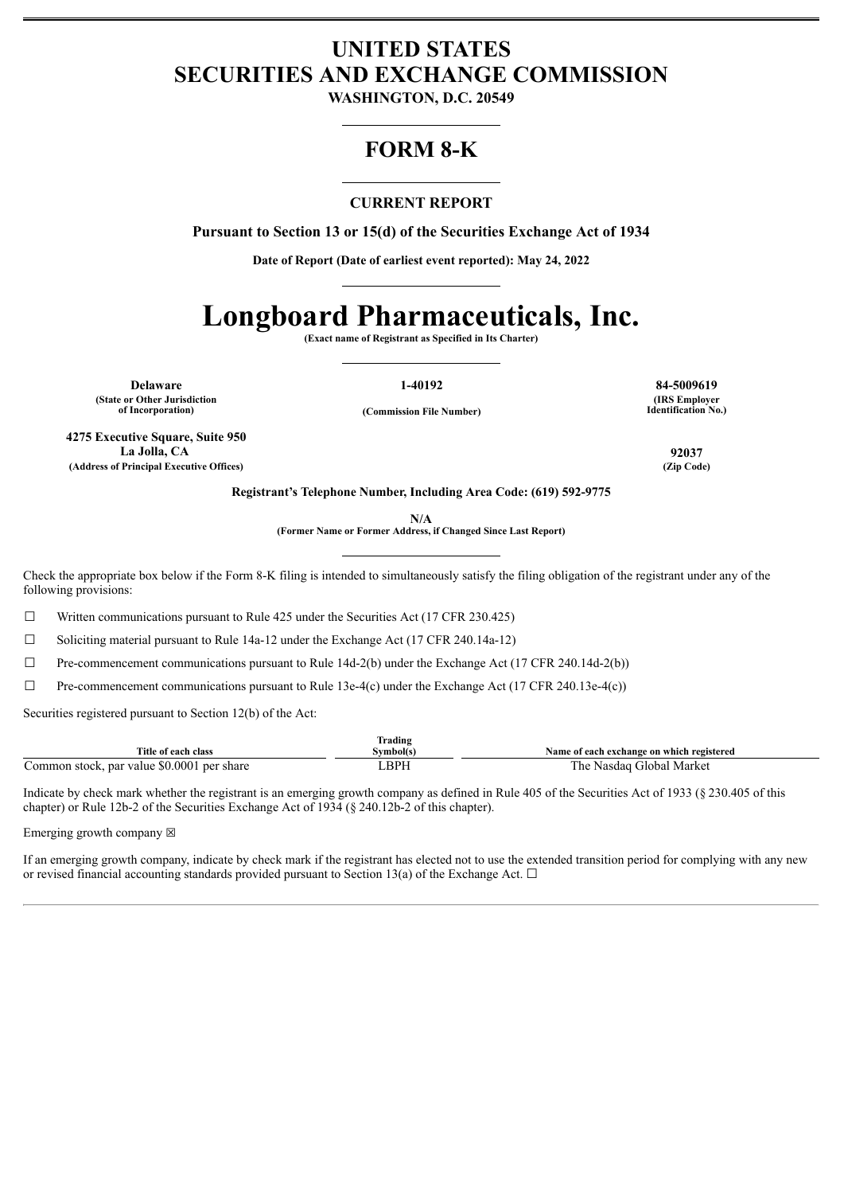# **UNITED STATES SECURITIES AND EXCHANGE COMMISSION**

**WASHINGTON, D.C. 20549**

# **FORM 8-K**

## **CURRENT REPORT**

**Pursuant to Section 13 or 15(d) of the Securities Exchange Act of 1934**

**Date of Report (Date of earliest event reported): May 24, 2022**

# **Longboard Pharmaceuticals, Inc.**

**(Exact name of Registrant as Specified in Its Charter)**

**Delaware 1-40192 84-5009619 (State or Other Jurisdiction**

**of Incorporation) (Commission File Number)**

**(IRS Employer Identification No.)**

**4275 Executive Square, Suite 950 La Jolla, CA 92037 (Address of Principal Executive Offices) (Zip Code)**

**Registrant's Telephone Number, Including Area Code: (619) 592-9775**

**N/A**

**(Former Name or Former Address, if Changed Since Last Report)**

Check the appropriate box below if the Form 8-K filing is intended to simultaneously satisfy the filing obligation of the registrant under any of the following provisions:

 $\Box$  Written communications pursuant to Rule 425 under the Securities Act (17 CFR 230.425)

 $\Box$  Soliciting material pursuant to Rule 14a-12 under the Exchange Act (17 CFR 240.14a-12)

 $\Box$  Pre-commencement communications pursuant to Rule 14d-2(b) under the Exchange Act (17 CFR 240.14d-2(b))

 $\Box$  Pre-commencement communications pursuant to Rule 13e-4(c) under the Exchange Act (17 CFR 240.13e-4(c))

Securities registered pursuant to Section 12(b) of the Act:

|                                                    | <b>CONTINUES</b><br>Frading |                                                            |
|----------------------------------------------------|-----------------------------|------------------------------------------------------------|
| Title<br>e of each class                           | symbol(s                    | each exchange on which registered :<br>Name of             |
| \$0.000<br>per share<br>par value<br>∴ommon stock. | <b>BPH</b>                  | Market<br>r he<br>ilobal<br>$\alpha$ do $\alpha$<br>Nasuau |

Indicate by check mark whether the registrant is an emerging growth company as defined in Rule 405 of the Securities Act of 1933 (§ 230.405 of this chapter) or Rule 12b-2 of the Securities Exchange Act of 1934 (§ 240.12b-2 of this chapter).

Emerging growth company  $\boxtimes$ 

If an emerging growth company, indicate by check mark if the registrant has elected not to use the extended transition period for complying with any new or revised financial accounting standards provided pursuant to Section 13(a) of the Exchange Act.  $\Box$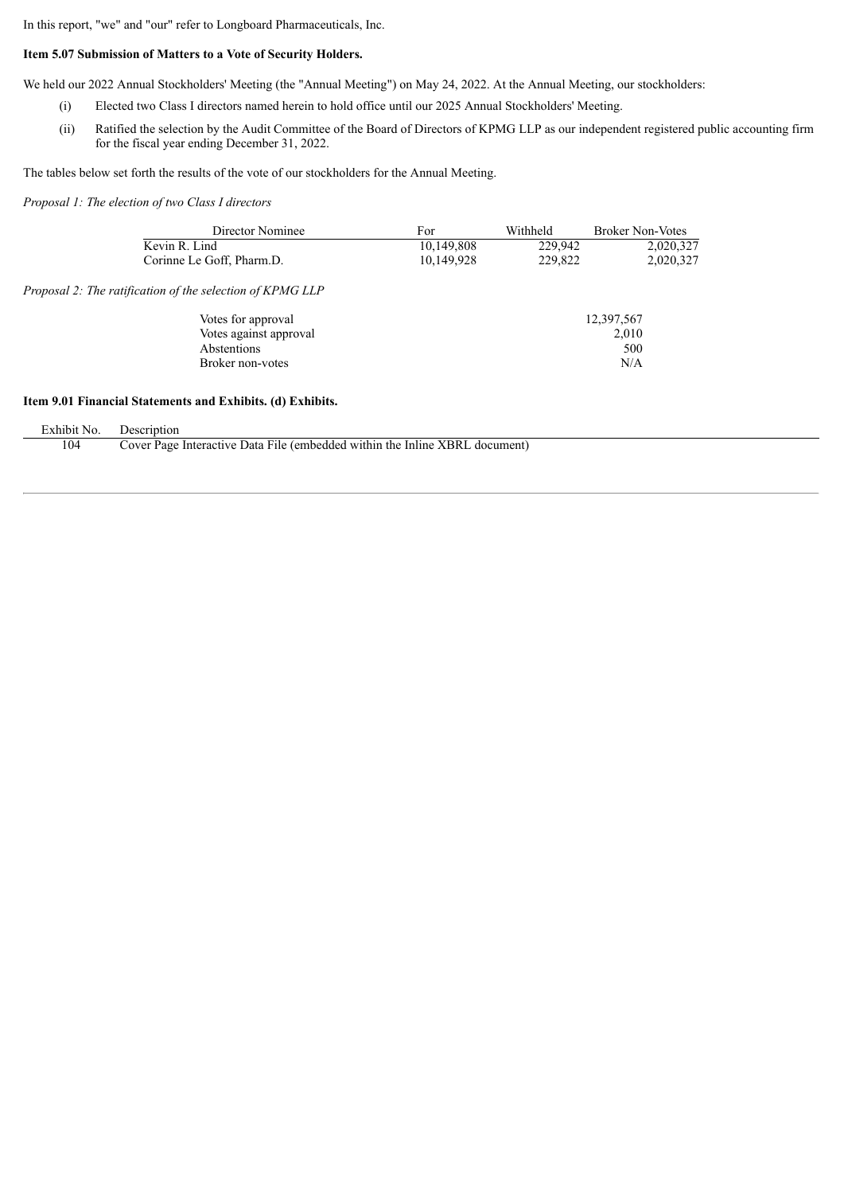In this report, "we" and "our" refer to Longboard Pharmaceuticals, Inc.

### **Item 5.07 Submission of Matters to a Vote of Security Holders.**

We held our 2022 Annual Stockholders' Meeting (the "Annual Meeting") on May 24, 2022. At the Annual Meeting, our stockholders:

- (i) Elected two Class I directors named herein to hold office until our 2025 Annual Stockholders' Meeting.
- (ii) Ratified the selection by the Audit Committee of the Board of Directors of KPMG LLP as our independent registered public accounting firm for the fiscal year ending December 31, 2022.

The tables below set forth the results of the vote of our stockholders for the Annual Meeting.

*Proposal 1: The election of two Class I directors*

 $Proposal$ 

| Director Nominee                                 | For        | Withheld   | <b>Broker Non-Votes</b> |
|--------------------------------------------------|------------|------------|-------------------------|
| Kevin R. Lind                                    | 10,149,808 | 229,942    | 2,020,327               |
| Corinne Le Goff, Pharm.D.                        | 10,149,928 | 229,822    | 2,020,327               |
| 2: The ratification of the selection of KPMG LLP |            |            |                         |
| Votes for approval                               |            | 12,397,567 |                         |
| Votes against approval                           |            |            | 2,010                   |
| Abstentions                                      |            |            | 500                     |
| Broker non-votes                                 |            |            | N/A                     |
|                                                  |            |            |                         |

#### **Item 9.01 Financial Statements and Exhibits. (d) Exhibits.**

| Exhibit No. | Description                                                                 |
|-------------|-----------------------------------------------------------------------------|
| 104         | Cover Page Interactive Data File (embedded within the Inline XBRL document) |